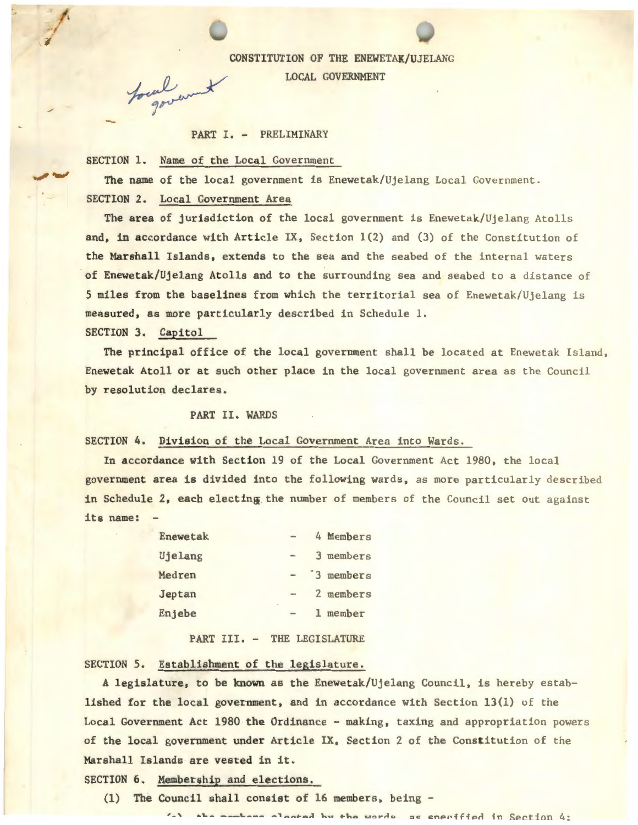### CONSTITUTION OF THE ENEWETAK/UJELANG

LOCAL GOVERNMENT

### PART I. - PRELIMINARY

SECTION 1. Name of the Local Government

The name of the local government is Enewetak/Ujelang Local Government. SECTION 2. Local Government Area

The area of jurisdiction of the local government is Enewetak/Ujelang Atolls and, in accordance with Article IX, Section 1(2) and (3) of the Constitution of the Marshall Islands, extends to the sea and the seabed of the internal waters of Enewetak/Ujelang Atolls and to the surrounding sea and seabed to a distance of 5 miles from the baselines from which the territorial sea of Enewetak/Ujelang is measured, as more particularly described in Schedule 1.

SECTION 3. Capitol

The principal office of the local government shall be located at Enewetak Island, Enewetak Atoll or at such other place in the local government area as the Council by resolution declares.

#### PART II. WARDS

## SECTION 4. Division of the Local Government Area into Wards.

In accordance with Section 19 of the Local Government Act 1980, the local government area is divided into the following wards, as more particularly described in Schedule 2, each electing the number of members of the Council set out against its name:

| Enewetak |   | 4 Members            |
|----------|---|----------------------|
| Ujelang  |   | 3 members            |
| Medren   |   | <sup>3</sup> members |
| Jeptan   |   | 2 members            |
| Enjebe   | ٠ | member               |

PART III. - THE LEGISLATURE

SECTION 5. Establishment of the legislature.

A legislature, to be known as the Enewetak/Ujelang Council, is hereby established for the local government, and in accordance with Section 13(1) of the Local Government Act 1980 the Ordinance - making, taxing and appropriation powers of the local government under Article IX, Section 2 of the Constitution of the Marshall Islands are vested in it.

SECTION 6. Membership and elections.

(1) The Council shall consist of 16 members, being -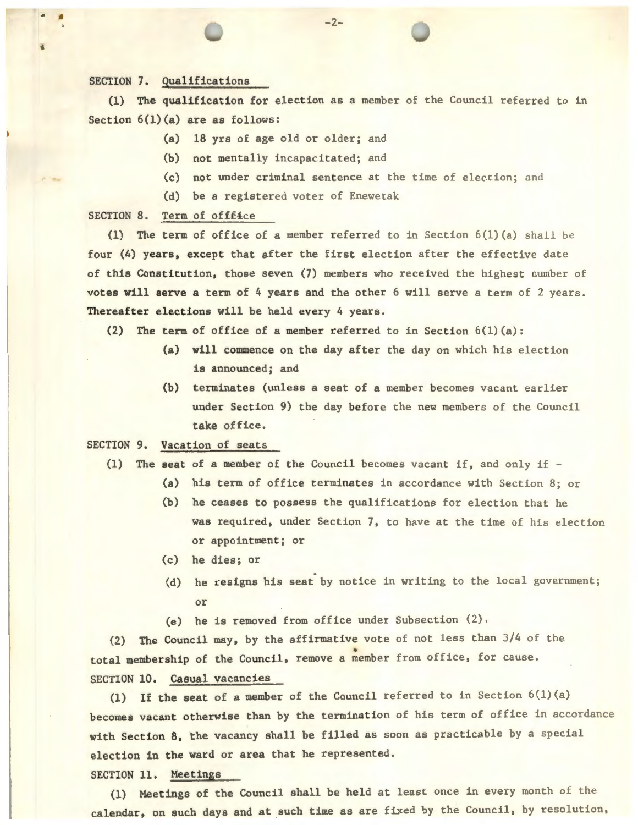## SECTION 7. Qualifications

•

(1) The qualification for election as a member of the Council referred to in Section  $6(1)(a)$  are as follows:

 $-2-$ 

- (a) 18 yrs of age old or older; and
- (b) not mentally incapacitated; and
- (c) not under criminal sentence at the time of election; and
- (d) be a registered voter of Enewetak

### SECTION 8. Term of offfice

(1) The term of office of a member referred to in Section  $6(1)(a)$  shall be four (4) years, except that after the first election after the effective date of this Constitution, those seven {7) members who received the highest number of votes will serve a term of 4 years and the other 6 will serve a term of 2 years. Thereafter elections will be held every 4 years.

(2) The term of office of a member referred to in Section  $6(1)(a)$ :

- (a) will commence on the day after the day on which his election is announced; and
- (b) terminates (unless a seat of a member becomes vacant earlier under Section 9) the day before the new members of the Council take office.

# SECTION 9. Vacation of seats

- (1) The seat of a member of the Council becomes vacant if, and only if  $-$ 
	- (a) his term of office terminates in accordance with Section 8; or
	- (b) he ceases to possess the qualifications for election that he was required, under Section 7, to have at the time of his election or appointment; or
	-
	- (c) he dies; or . (d) he resigns his seat by notice in writing to the local government; or
	- (e) he is removed from office under Subsection (2).

(2) The Council may, by the affirmative vote of not less than 3/4 of the • total membership of the Council, remove a member from office, for cause. SECTION 10. Casual vacancies

(1) If the seat of a member of the Council referred to in Section  $6(1)(a)$ becomes vacant otherwise than by the termination of his term of office in accordance with Section 8, the vacancy shall be filled as soon as practicable by a special election in the ward or area that he represented.

SECTION 11. Meetings

(1) Meetings of the Council shall be held at least once in every month of the calendar, on such days and at such time as are fixed by the Council, by resolution,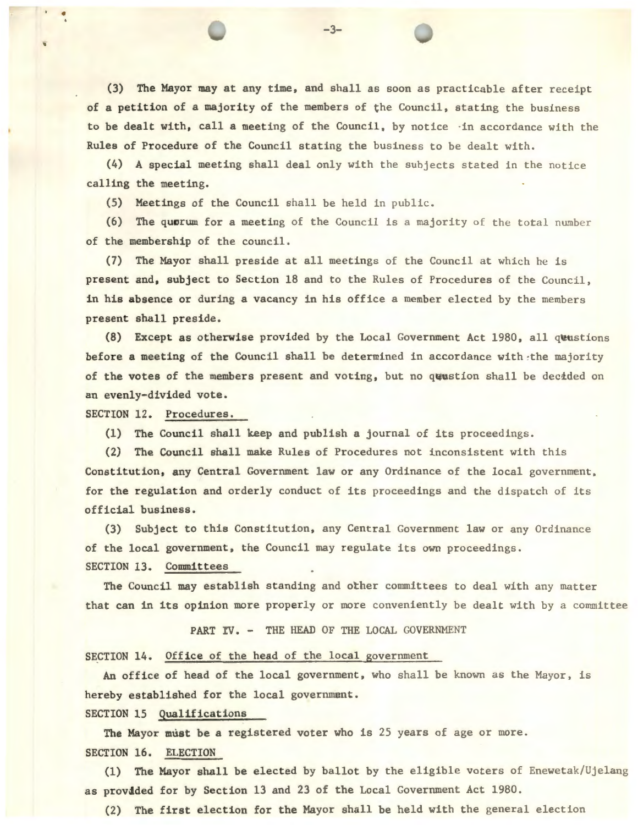(3) The Mayor may at any time, and shall as soon as practicable after receipt of a petition of a majority of the members of the Council, stating the business to be dealt with, call a meeting of the Council, by notice ·in accordance with the Rules of Procedure of the Council stating the business to be dealt with.

 $-3-$ 

 $(4)$  A special meeting shall deal only with the subjects stated in the notice calling the meeting.

(5) Meetings of the Council shall be held in public .

(6) The quorum for a meeting of the Council is a majority of the total number of the membership of the council.

(7) The Mayor shall preside at all meetings of the Council at which he is present and, subject to Section 18 and to the Rules of Procedures of the Council, in his absence or during a vacancy in his office a member elected by the members present shall preside.

(8) Except as otherwise provided by the Local Government Act 1980, all quastions before a meeting of the Council shall be determined in accordance with the majority of the votes of the members present and voting, but no quustion shall be decided on an evenly-divided vote.

SECTION 12. Procedures.

'

(1) The Council shall keep and publish a journal of its proceedings.

(2) The Council shall make Rules of Procedures not inconsistent with this Constitution, any Central Government law or any Ordinance of the local government, for the regulation and orderly conduct of its proceedings and the dispatch of its official business.

(3) Subject to this Constitution, any Central Government law or any Ordinance of the local government, the Council may regulate its own proceedings. SECTION 13. Committees

The Council may establish standing and other committees to deal with any matter that can in its opinion more properly or more conveniently be dealt with by a committee

PART IV. - THE HEAD OF THE LOCAL GOVERNMENT

SECTION 14. Office of the head of the local government

An office of head of the local government, who shall be known as the Mayor, is hereby established for the local government.

SECTION 15 Qualifications

The Mayor must be a registered voter who is 25 years of age or more. SECTION 16. ELECTION

(1) The Mayor shall be elected by ballot by the eligible voters of Enewetak/Ujelang as provided for by Section 13 and 23 of the Local Government Act 1980.

(2) The first election for the Mayor shall be held with the general election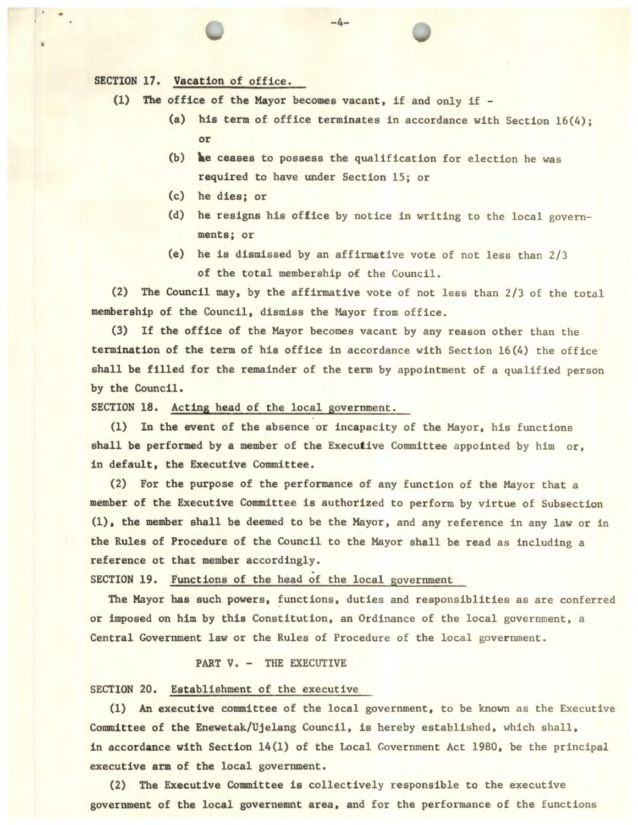SECTION 17. Vacation of office.

(1) The office of the Mayor becomes vacant, if and only if -

-4-

- (a) his term of office terminates in accordance with Section 16(4) ; or
- $(b)$  **he ceases to possess the qualification for election he was** required to have under Section 15; or
- (c) he dies; or
- (d) he resigns his office by notice in writing to the local governments; or
- (e) he is dismissed by an affirmative vote of not less than 2/3 of the total membership of the Council.

(2) The Council may, by the affirmative vote of not less than 2/3 of the total membership of the Council, dismiss the Mayor from office.

(3) If the office of the Mayor becomes vacant by any reason other than the termination of the term of his office in accordance with Section 16(4) the office shall be filled for the remainder of the term by appointment of a qualified person by the Council.

SECTION 18. Acting head of the local government.

(1) In the event of the absence or incapacity of the Mayor, his functions shall be performed by a member of the Executive Committee appointed by him  $or$ , in default, the Executive Committee.

(2) For the purpose of the performance of any function of the Mayor that a member of the Executive Committee is authorized to perform by virtue of Subsection (1), the member shall be deemed to be the Mayor, and any reference in any law or in the Rules of Procedure of the Council to the Mayor shall be read as including a reference ot that member accordingly.

SECTION 19. Functions of the head of the local government

The Mayor has such powers, functions, duties and responsiblities as are conferred or imposed on him by this Constitution, an Ordinance of the local government, a Central Government law or the Rules of Procedure of the local government.

PART V. - THE EXECUTIVE

## SECTION 20. Establishment of the executive

(1) An executive committee of the local government, to be known as the Executive Committee of the Enewetak/Ujelang Council, is hereby established, which shall, in accordance with Section 14(1) of the Local Government Act 1980, be the principal executive arm of the local government.

(2) The Executive Committee is collectively responsible to the executive government of the local governemnt area, and for the performance of the functions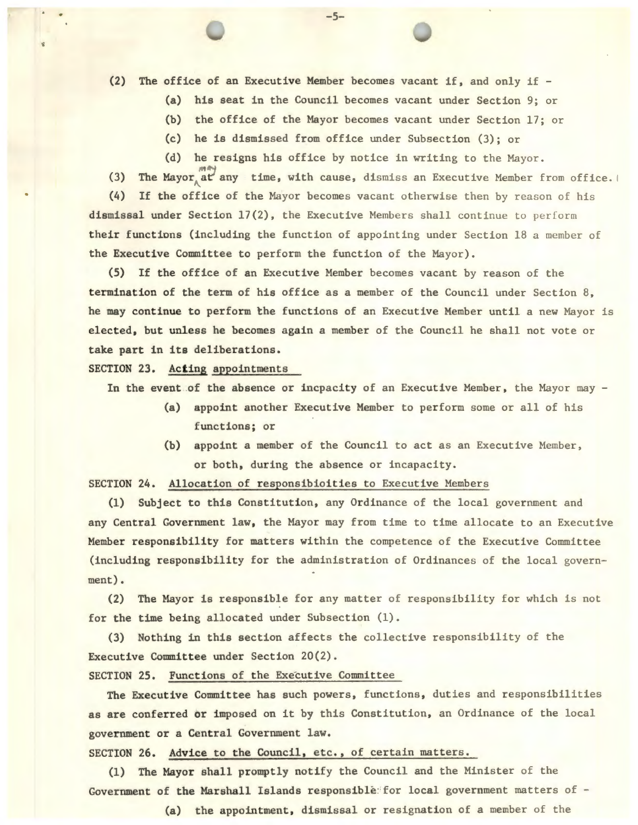(2) The office of an Executive Member becomes vacant if, and only if -

-5-

(a) his seat in the Council becomes vacant under Section 9; or

- (b) the office of the Mayor becomes vacant under Section 17; or
- (c) he is dismissed from office under Subsection (3); or
- (d) he resigns his office by notice in writing to the Mayor.

(3) The Mayor at any time, with cause, dismiss an Executive Member from office. (4) If the office of the Mayor becomes vacant otherwise then by reason of his dismissal under Section  $17(2)$ , the Executive Members shall continue to perform their functions (including the function of appointing under Section 18 a member of the Executive Committee to perform the function of the Mayor).

(5) If the office of an Executive Member becomes vacant by reason of the termination of the term of his office as a member of the Council under Section 8, he may continue to perform the functions of an Executive Member until a new Mayor is elected, but unless he becomes again a member of the Council he shall not vote or take part in its deliberations.

SECTION 23. Acting appointments

In the event of the absence or incpacity of an Executive Member, the Mayor may -

- (a) appoint another Executive Member to perform some or all of his functions; or
- (b) appoint a member of the Council to act as an Executive Member, or both, during the absence or incapacity.

SECTION 24. Allocation of responsibioities to Executive Members

(1) Subject to this Constitution, any Ordinance of the local government and any Central Government law, the Mayor may from time to time allocate to an Executive Member responsibility for matters within the competence of the Executive Committee (including responsibility for the administration of Ordinances of the local government).

(2) The Mayor is responsible for any matter of responsibility for which is not for the time being allocated under Subsection (1).

(3) Nothing in this section affects the collective responsibility of the Executive Committee under Section 20(2).

SECTION 25. Functions of the Executive Committee

The Executive Committee has such powers, functions, duties and responsibilities as are conferred or imposed on it by this Constitution, an Ordinance of the local government or a Central Government law.

SECTION 26. Advice to the Council, etc., of certain matters.

(1) The Mayor shall promptly notify the Council and the Minister of the Government of the Marshall Islands responsible for local government matters of -

(a) the appointment, dismissal or resignation of a member of the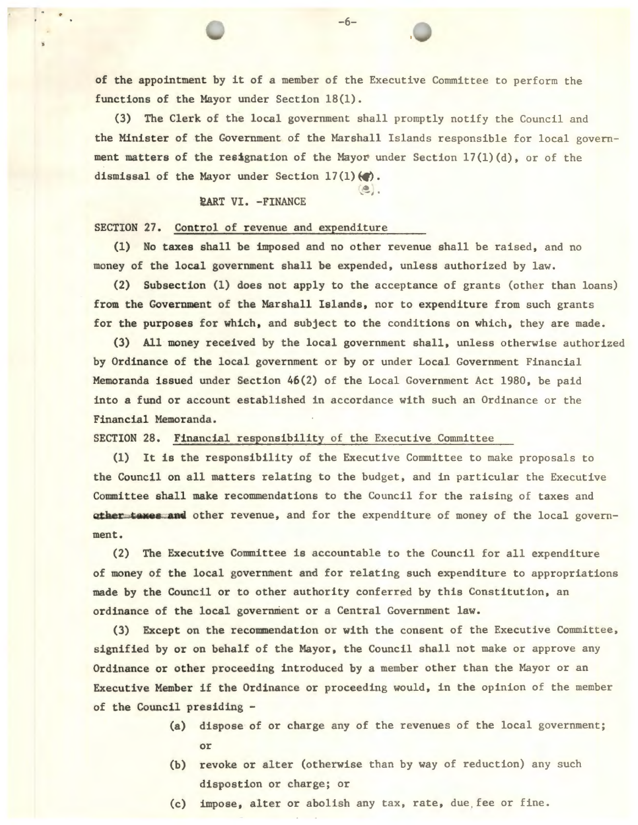of the appointment by it of a member of the Executive Committee to perform the functions of the Mayor under Section 18(1).

-6-

(3) The Clerk of the local government shall promptly notify the Council and the Minister of the Government of the Marshall Islands responsible for local government matters of the resignation of the Mayor under Section  $17(1)(d)$ , or of the dismissal of the Mayor under Section  $17(1)$   $($ 

 $\bullet$   $\vdash$ 

PART VI. -FINANCE

#### SECTION 27. Control of revenue and expenditure

(1) No taxes shall be imposed and no other revenue shall be raised, and no money of the local government shall be expended, unless authorized by law.

(2) Subsection (1) does not apply to the acceptance of grants (other than loans) from the Government of the Marshall Islands, nor to expenditure from such grants for the purposes for which, and subject to the conditions on which, they are made.

(3) All money received by the local government shall, unless otherwise authorized by Ordinance of the local government or by or under Local Government Financial Memoranda issued under Section 46(2) of the Local Government Act 1980, be paid into a fund or account established in accordance with such an Ordinance or the Financial Memoranda.

### SECTION 28. Financial responsibility of the Executive Committee

(1) It is the responsibility of the Executive Committee to make proposals to the Council on all matters relating to the budget, and in particular the Executive Committee shall make recommendations to the Council for the raising of taxes and ather taxes and other revenue, and for the expenditure of money of the local government.

(2) The Executive Committee is accountable to the Council for all expenditure of money of the local government and for relating such expenditure to appropriations made by the Council or to other authority conferred by this Constitution, an ordinance of the local government or a Central Government law.

(3) Except on the recommendation or with the consent of the Executive Committee, signified by or on behalf of the Mayor, the Council shall not make or approve any Ordinance or other proceeding introduced by a member other than the Mayor or an Executive Member if the Ordinance or proceeding would, in the opinion of the member of the Council presiding -

- (a) dispose of or charge any of the revenues of the local government; or
- (b) revoke or alter (otherwise than by way of reduction) any such dispostion or charge; or
- (c) impose, alter or abolish any tax, rate, due fee or fine.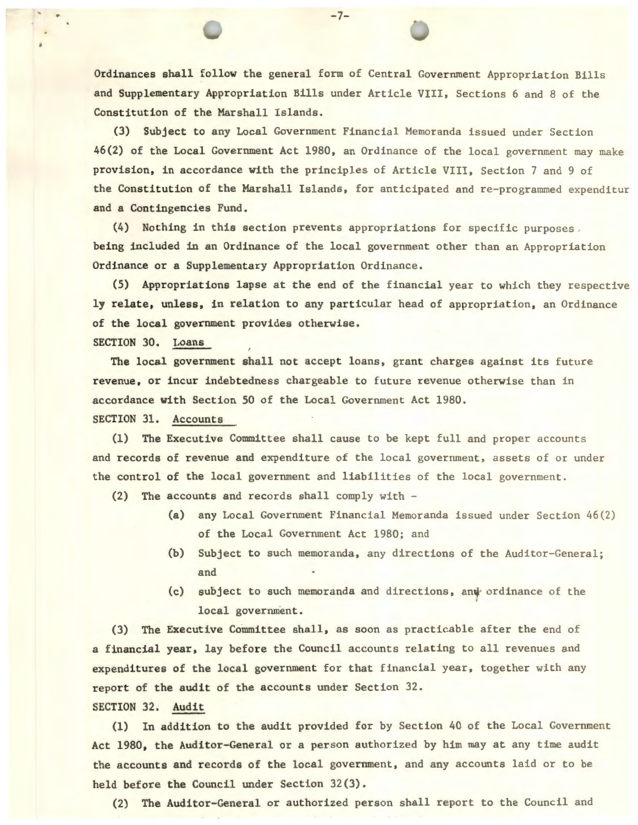Ordinances shall follow the general form of Central Government Appropriation Bills and Supplementary Appropriation Bills under Article VIII, Sections 6 and 8 of the Constitution of the Marshall Islands.

-7-

(3) Subject to any Local Government Financial Memoranda issued under Section 46(2) of the Local Government Act 1980, an Ordinance of the local government may make provision, in accordance with the principles of Article VIII, Section 7 and 9 of the Constitution of the Marshall Islands, for anticipated and re-programmed expenditur and a Contingencies Fund.

(4) Nothing in this section prevents appropriations for specific purposes , being included in an Ordinance of the local government other than an Appropriation Ordinance or a Supplementary Appropriation Ordinance.

(5) Appropriations lapse at the end of the financial year to which they respective ly relate, unless, in relation to any particular head of appropriation, an Ordinance of the local government provides otherwise.

SECTION 30. Loans

The local government shall not accept loans, grant charges against its future revenue, or incur indebtedness chargeable to future revenue otherwise than in accordance with Section 50 of the Local Government Act 1980.

SECTION 31. Accounts

(1) The Executive Committee shall cause to be kept full and proper accounts and records of revenue and expenditure of the local government, assets of or under the control of the local government and liabilities of the local government.

(2) The accounts and records shall comply with -

- (a) any Local Government Financial Memoranda issued under Section 46(2) of the Local Government Act 1980; and
- (b) Subject to such memoranda, any directions of the Auditor-General; and
- (c) subject to such memoranda and directions, and ordinance of the • local government.

(3) The Executive Committee shall, as soon as practicable after the end of a financial year, lay before the Council accounts relating to all revenues and expenditures of the local government for that financial year, together with any report of the audit of the accounts under Section 32.

### SECTION 32. Audit

(1) In addition to the audit provided for by Section 40 of the Local Government Act 1980, the Auditor-General or a person authorized by him may at any time audit the accounts and records of the local government, and any accounts laid or to be held before the Council under Section 32(3).

(2) The Auditor-General or authorized person shall report to the Council and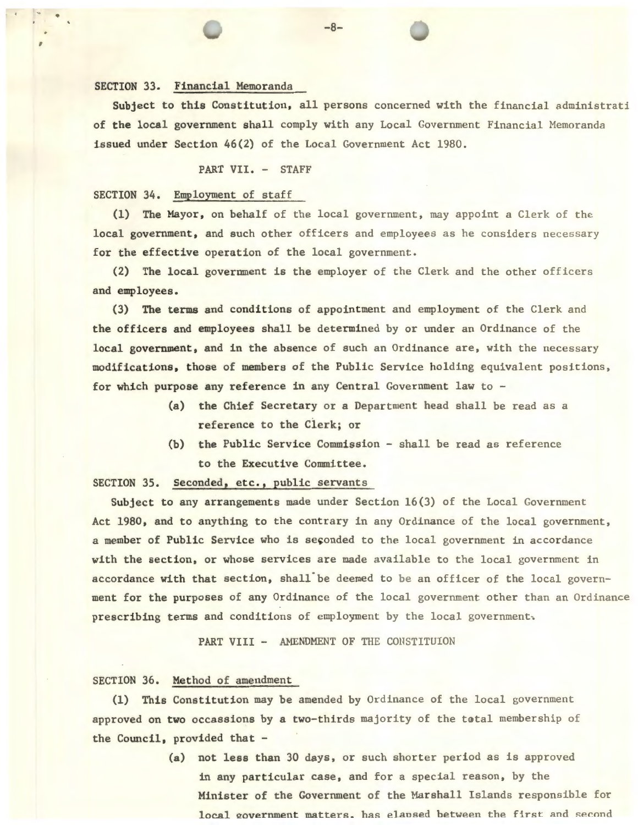# SECTION 33. Financial Memoranda

Subject to this Constitution, all persons concerned with the financial administrati of the local government shall comply with any Local Government Financial Memoranda issued under Section 46(2) of the Local Government Act 1980.

-8-

### PART VII. - STAFF

#### SECTION 34. Employment of staff

(1) The Mayor, on behalf of the local government, may appoint a Clerk of the local government, and such other officers and employees as he considers necessary for the effective operation of the local government.

(2) The local government is the employer of the Clerk and the other officers and employees.

(3) The terms and conditions of appointment and employment of the Clerk and the officers and employees shall be determined by or under an Ordinance of the local government, and in the absence of such an Ordinance are, with the necessary modifications, those of members of the Public Service holding equivalent positions, for which purpose any reference in any Central Government law to -

- (a) the Chief Secretary or a Department head shall be read as a reference to the Clerk; or
- (b) the Public Service Commission shall be read as reference to the Executive Committee.

SECTION 35. Seconded, etc., public servants

Subject to any arrangements made under Section 16(3) of the Local Government Act 1980, and to anything to the contrary in any Ordinance of the local government, a member of Public Service who is seconded to the local government in accordance with the section, or whose services are made available to the local government in accordance with that section, shall be deemed to be an officer of the local government for the purposes of any Ordinance of the local government other than an Ordinance prescribing terms and conditions of employment by the local government.

PART VIII - AMENDMENT OF THE CONSTITUION

#### SECTION 36. Method of amendment

(1) This Constitution may be amended by Ordinance of the local government approved on two occassions by a two-thirds majority of the total membership of the Council, provided that -

> (a) not less than 30 days, or such shorter period as is approved in any particular case, and for a special reason, by the Minister of the Government of the Marshall Islands responsible for local government matters. has elapsed between the first and second